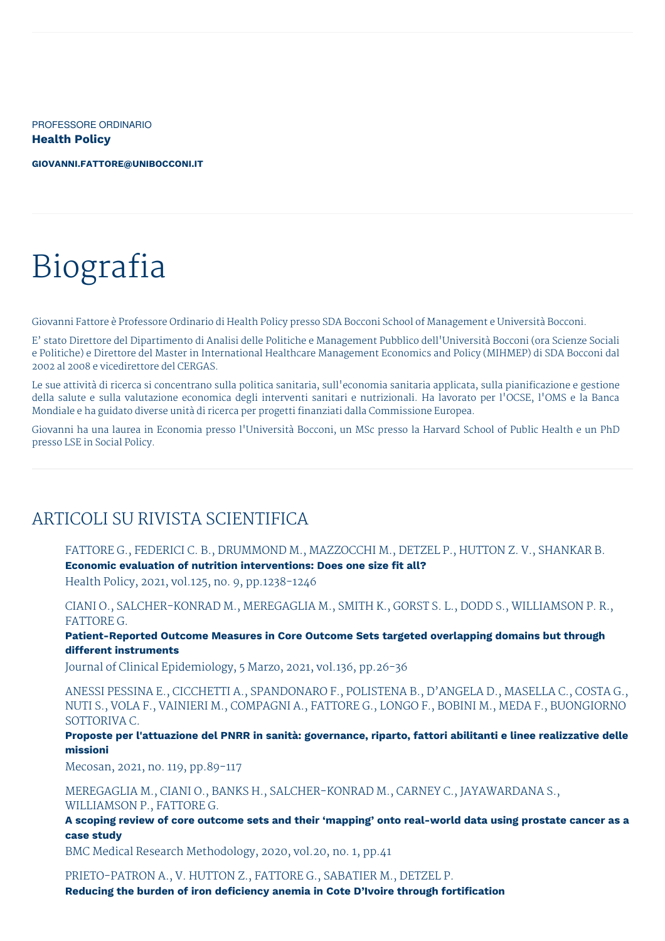PROFESSORE ORDINARIO **Health Policy**

**[GIOVANNI.FATTORE@UNIBOCCONI.IT](mailto:giovanni.fattore@unibocconi.it)**

# Biografia

Giovanni Fattore è Professore Ordinario di Health Policy presso SDA Bocconi School of Management e Università Bocconi.

E' stato Direttore del Dipartimento di Analisi delle Politiche e Management Pubblico dell'Università Bocconi (ora Scienze Sociali e Politiche) e Direttore del Master in International Healthcare Management Economics and Policy (MIHMEP) di SDA Bocconi dal 2002 al 2008 e vicedirettore del CERGAS.

Le sue attività di ricerca si concentrano sulla politica sanitaria, sull'economia sanitaria applicata, sulla pianificazione e gestione della salute e sulla valutazione economica degli interventi sanitari e nutrizionali. Ha lavorato per l'OCSE, l'OMS e la Banca Mondiale e ha guidato diverse unità di ricerca per progetti finanziati dalla Commissione Europea.

Giovanni ha una laurea in Economia presso l'Università Bocconi, un MSc presso la Harvard School of Public Health e un PhD presso LSE in Social Policy.

### ARTICOLI SU RIVISTA SCIENTIFICA

FATTORE G., FEDERICI C. B., DRUMMOND M., MAZZOCCHI M., DETZEL P., HUTTON Z. V., SHANKAR B. **Economic evaluation of nutrition interventions: Does one size fit all?**

Health Policy, 2021, vol.125, no. 9, pp.1238-1246

CIANI O., SALCHER-KONRAD M., MEREGAGLIA M., SMITH K., GORST S. L., DODD S., WILLIAMSON P. R., FATTORE G.

**Patient-Reported Outcome Measures in Core Outcome Sets targeted overlapping domains but through different instruments**

Journal of Clinical Epidemiology, 5 Marzo, 2021, vol.136, pp.26-36

ANESSI PESSINA E., CICCHETTI A., SPANDONARO F., POLISTENA B., D'ANGELA D., MASELLA C., COSTA G., NUTI S., VOLA F., VAINIERI M., COMPAGNI A., FATTORE G., LONGO F., BOBINI M., MEDA F., BUONGIORNO SOTTORIVA C.

**Proposte per l'attuazione del PNRR in sanità: governance, riparto, fattori abilitanti e linee realizzative delle missioni**

Mecosan, 2021, no. 119, pp.89-117

MEREGAGLIA M., CIANI O., BANKS H., SALCHER-KONRAD M., CARNEY C., JAYAWARDANA S., WILLIAMSON P., FATTORE G.

A scoping review of core outcome sets and their 'mapping' onto real-world data using prostate cancer as a **case study**

BMC Medical Research Methodology, 2020, vol.20, no. 1, pp.41

PRIETO-PATRON A., V. HUTTON Z., FATTORE G., SABATIER M., DETZEL P.

**Reducing the burden of iron deficiency anemia in Cote D'Ivoire through fortification**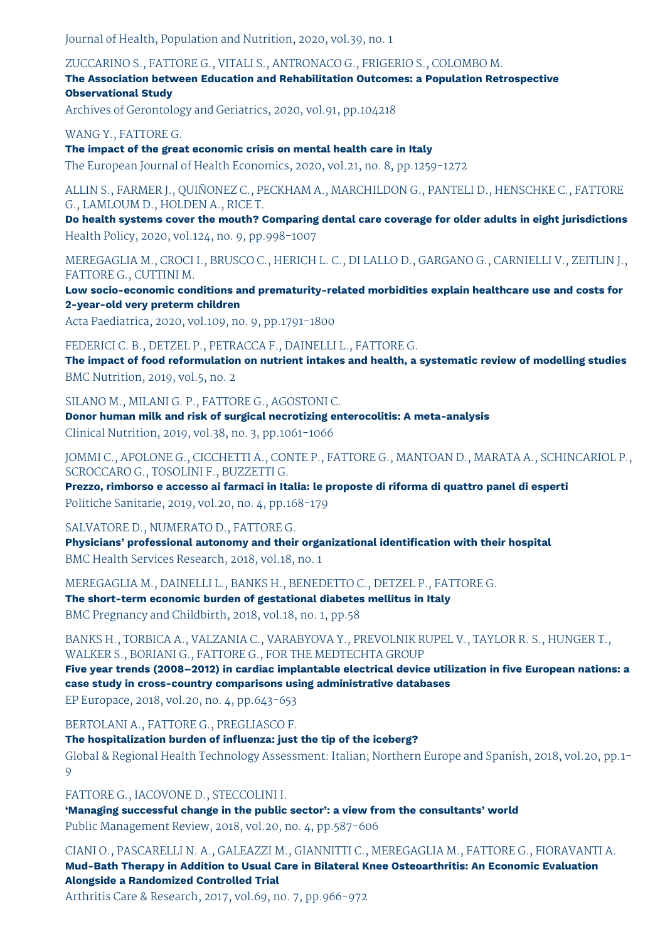Journal of Health, Population and Nutrition, 2020, vol.39, no. 1

ZUCCARINO S., FATTORE G., VITALI S., ANTRONACO G., FRIGERIO S., COLOMBO M.

**The Association between Education and Rehabilitation Outcomes: a Population Retrospective Observational Study**

Archives of Gerontology and Geriatrics, 2020, vol.91, pp.104218

WANG Y., FATTORE G.

**The impact of the great economic crisis on mental health care in Italy** The European Journal of Health Economics, 2020, vol.21, no. 8, pp.1259-1272

ALLIN S., FARMER J., QUIÑONEZ C., PECKHAM A., MARCHILDON G., PANTELI D., HENSCHKE C., FATTORE G., LAMLOUM D., HOLDEN A., RICE T.

**Do health systems cover the mouth? Comparing dental care coverage for older adults in eight jurisdictions** Health Policy, 2020, vol.124, no. 9, pp.998-1007

MEREGAGLIA M., CROCI I., BRUSCO C., HERICH L. C., DI LALLO D., GARGANO G., CARNIELLI V., ZEITLIN J., FATTORE G., CUTTINI M.

**Low socio-economic conditions and prematurity-related morbidities explain healthcare use and costs for 2-year-old very preterm children**

Acta Paediatrica, 2020, vol.109, no. 9, pp.1791-1800

FEDERICI C. B., DETZEL P., PETRACCA F., DAINELLI L., FATTORE G.

**The impact of food reformulation on nutrient intakes and health, a systematic review of modelling studies** BMC Nutrition, 2019, vol.5, no. 2

SILANO M., MILANI G. P., FATTORE G., AGOSTONI C.

**Donor human milk and risk of surgical necrotizing enterocolitis: A meta-analysis** Clinical Nutrition, 2019, vol.38, no. 3, pp.1061-1066

JOMMI C., APOLONE G., CICCHETTI A., CONTE P., FATTORE G., MANTOAN D., MARATA A., SCHINCARIOL P., SCROCCARO G., TOSOLINI F., BUZZETTI G.

**Prezzo, rimborso e accesso ai farmaci in Italia: le proposte di riforma di quattro panel di esperti** Politiche Sanitarie, 2019, vol.20, no. 4, pp.168-179

SALVATORE D., NUMERATO D., FATTORE G.

**Physicians' professional autonomy and their organizational identification with their hospital** BMC Health Services Research, 2018, vol.18, no. 1

MEREGAGLIA M., DAINELLI L., BANKS H., BENEDETTO C., DETZEL P., FATTORE G.

**The short-term economic burden of gestational diabetes mellitus in Italy** BMC Pregnancy and Childbirth, 2018, vol.18, no. 1, pp.58

BANKS H., TORBICA A., VALZANIA C., VARABYOVA Y., PREVOLNIK RUPEL V., TAYLOR R. S., HUNGER T., WALKER S., BORIANI G., FATTORE G., FOR THE MEDTECHTA GROUP

**Five year trends (2008–2012) in cardiac implantable electrical device utilization in five European nations: a case study in cross-country comparisons using administrative databases**

EP Europace, 2018, vol.20, no. 4, pp.643-653

BERTOLANI A., FATTORE G., PREGLIASCO F.

**The hospitalization burden of influenza: just the tip of the iceberg?** Global & Regional Health Technology Assessment: Italian; Northern Europe and Spanish, 2018, vol.20, pp.1-  $Q$ 

FATTORE G., IACOVONE D., STECCOLINI I.

**'Managing successful change in the public sector': a view from the consultants' world** Public Management Review, 2018, vol.20, no. 4, pp.587-606

CIANI O., PASCARELLI N. A., GALEAZZI M., GIANNITTI C., MEREGAGLIA M., FATTORE G., FIORAVANTI A. **Mud-Bath Therapy in Addition to Usual Care in Bilateral Knee Osteoarthritis: An Economic Evaluation Alongside a Randomized Controlled Trial**

Arthritis Care & Research, 2017, vol.69, no. 7, pp.966-972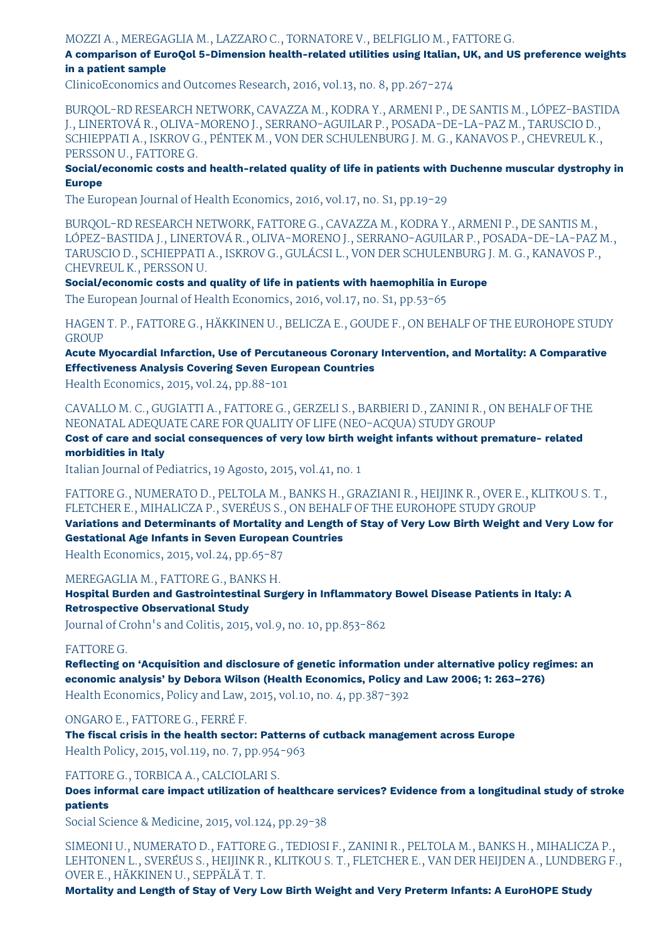#### MOZZI A., MEREGAGLIA M., LAZZARO C., TORNATORE V., BELFIGLIO M., FATTORE G.

#### **A comparison of EuroQol 5-Dimension health-related utilities using Italian, UK, and US preference weights in a patient sample**

ClinicoEconomics and Outcomes Research, 2016, vol.13, no. 8, pp.267-274

BURQOL-RD RESEARCH NETWORK, CAVAZZA M., KODRA Y., ARMENI P., DE SANTIS M., LÓPEZ-BASTIDA J., LINERTOVÁ R., OLIVA-MORENO J., SERRANO-AGUILAR P., POSADA-DE-LA-PAZ M., TARUSCIO D., SCHIEPPATI A., ISKROV G., PÉNTEK M., VON DER SCHULENBURG J. M. G., KANAVOS P., CHEVREUL K., PERSSON U., FATTORE G.

#### **Social/economic costs and health-related quality of life in patients with Duchenne muscular dystrophy in Europe**

The European Journal of Health Economics, 2016, vol.17, no. S1, pp.19-29

BURQOL-RD RESEARCH NETWORK, FATTORE G., CAVAZZA M., KODRA Y., ARMENI P., DE SANTIS M., LÓPEZ-BASTIDA J., LINERTOVÁ R., OLIVA-MORENO J., SERRANO-AGUILAR P., POSADA-DE-LA-PAZ M., TARUSCIO D., SCHIEPPATI A., ISKROV G., GULÁCSI L., VON DER SCHULENBURG J. M. G., KANAVOS P., CHEVREUL K., PERSSON U.

**Social/economic costs and quality of life in patients with haemophilia in Europe**

The European Journal of Health Economics, 2016, vol.17, no. S1, pp.53-65

HAGEN T. P., FATTORE G., HÄKKINEN U., BELICZA E., GOUDE F., ON BEHALF OF THE EUROHOPE STUDY GROUP

**Acute Myocardial Infarction, Use of Percutaneous Coronary Intervention, and Mortality: A Comparative Effectiveness Analysis Covering Seven European Countries**

Health Economics, 2015, vol.24, pp.88-101

CAVALLO M. C., GUGIATTI A., FATTORE G., GERZELI S., BARBIERI D., ZANINI R., ON BEHALF OF THE NEONATAL ADEQUATE CARE FOR QUALITY OF LIFE (NEO-ACQUA) STUDY GROUP

**Cost of care and social consequences of very low birth weight infants without premature- related morbidities in Italy**

Italian Journal of Pediatrics, 19 Agosto, 2015, vol.41, no. 1

FATTORE G., NUMERATO D., PELTOLA M., BANKS H., GRAZIANI R., HEIJINK R., OVER E., KLITKOU S. T., FLETCHER E., MIHALICZA P., SVERÉUS S., ON BEHALF OF THE EUROHOPE STUDY GROUP

Variations and Determinants of Mortality and Length of Stay of Very Low Birth Weight and Very Low for **Gestational Age Infants in Seven European Countries**

Health Economics, 2015, vol.24, pp.65-87

MEREGAGLIA M., FATTORE G., BANKS H.

**Hospital Burden and Gastrointestinal Surgery in Inflammatory Bowel Disease Patients in Italy: A Retrospective Observational Study**

Journal of Crohn's and Colitis, 2015, vol.9, no. 10, pp.853-862

#### FATTORE G.

**Reflecting on 'Acquisition and disclosure of genetic information under alternative policy regimes: an economic analysis' by Debora Wilson (Health Economics, Policy and Law 2006; 1: 263–276)** Health Economics, Policy and Law, 2015, vol.10, no. 4, pp.387-392

ONGARO E., FATTORE G., FERRÉ F.

**The fiscal crisis in the health sector: Patterns of cutback management across Europe** Health Policy, 2015, vol.119, no. 7, pp.954-963

FATTORE G., TORBICA A., CALCIOLARI S.

**Does informal care impact utilization of healthcare services? Evidence from a longitudinal study of stroke patients**

Social Science & Medicine, 2015, vol.124, pp.29-38

SIMEONI U., NUMERATO D., FATTORE G., TEDIOSI F., ZANINI R., PELTOLA M., BANKS H., MIHALICZA P., LEHTONEN L., SVERÉUS S., HEIJINK R., KLITKOU S. T., FLETCHER E., VAN DER HEIJDEN A., LUNDBERG F., OVER E., HÄKKINEN U., SEPPÄLÄ T. T.

**Mortality and Length of Stay of Very Low Birth Weight and Very Preterm Infants: A EuroHOPE Study**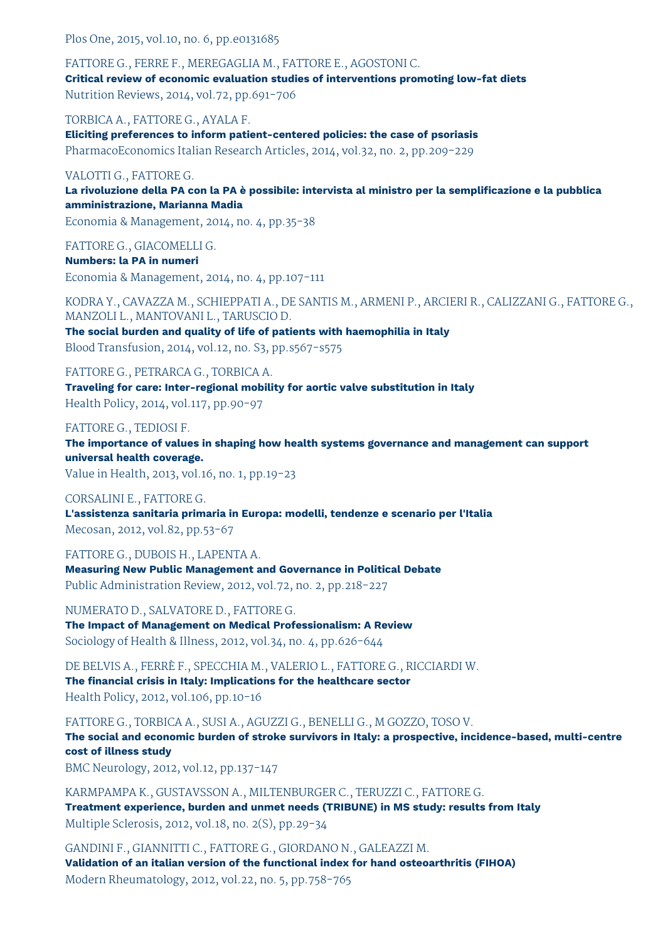Plos One, 2015, vol.10, no. 6, pp.e0131685

FATTORE G., FERRE F., MEREGAGLIA M., FATTORE E., AGOSTONI C. **Critical review of economic evaluation studies of interventions promoting low-fat diets** Nutrition Reviews, 2014, vol.72, pp.691-706

TORBICA A., FATTORE G., AYALA F. **Eliciting preferences to inform patient-centered policies: the case of psoriasis** PharmacoEconomics Italian Research Articles, 2014, vol.32, no. 2, pp.209-229

#### VALOTTI G., FATTORE G.

La rivoluzione della PA con la PA è possibile: intervista al ministro per la semplificazione e la pubblica **amministrazione, Marianna Madia**

Economia & Management, 2014, no. 4, pp.35-38

FATTORE G., GIACOMELLI G. **Numbers: la PA in numeri** Economia & Management, 2014, no. 4, pp.107-111

KODRA Y., CAVAZZA M., SCHIEPPATI A., DE SANTIS M., ARMENI P., ARCIERI R., CALIZZANI G., FATTORE G., MANZOLI L., MANTOVANI L., TARUSCIO D.

**The social burden and quality of life of patients with haemophilia in Italy** Blood Transfusion, 2014, vol.12, no. S3, pp.s567-s575

FATTORE G., PETRARCA G., TORBICA A.

**Traveling for care: Inter-regional mobility for aortic valve substitution in Italy** Health Policy, 2014, vol.117, pp.90-97

#### FATTORE G., TEDIOSI F.

**The importance of values in shaping how health systems governance and management can support universal health coverage.**

Value in Health, 2013, vol.16, no. 1, pp.19-23

#### CORSALINI E., FATTORE G.

**L'assistenza sanitaria primaria in Europa: modelli, tendenze e scenario per l'Italia** Mecosan, 2012, vol.82, pp.53-67

FATTORE G., DUBOIS H., LAPENTA A.

**Measuring New Public Management and Governance in Political Debate** Public Administration Review, 2012, vol.72, no. 2, pp.218-227

NUMERATO D., SALVATORE D., FATTORE G.

**The Impact of Management on Medical Professionalism: A Review** Sociology of Health & Illness, 2012, vol.34, no. 4, pp.626-644

DE BELVIS A., FERRÈ F., SPECCHIA M., VALERIO L., FATTORE G., RICCIARDI W. **The financial crisis in Italy: Implications for the healthcare sector** Health Policy, 2012, vol.106, pp.10-16

FATTORE G., TORBICA A., SUSI A., AGUZZI G., BENELLI G., M GOZZO, TOSO V. **The social and economic burden of stroke survivors in Italy: a prospective, incidence-based, multi-centre cost of illness study** BMC Neurology, 2012, vol.12, pp.137-147

KARMPAMPA K., GUSTAVSSON A., MILTENBURGER C., TERUZZI C., FATTORE G. **Treatment experience, burden and unmet needs (TRIBUNE) in MS study: results from Italy** Multiple Sclerosis, 2012, vol.18, no. 2(S), pp.29-34

GANDINI F., GIANNITTI C., FATTORE G., GIORDANO N., GALEAZZI M. **Validation of an italian version of the functional index for hand osteoarthritis (FIHOA)** Modern Rheumatology, 2012, vol.22, no. 5, pp.758-765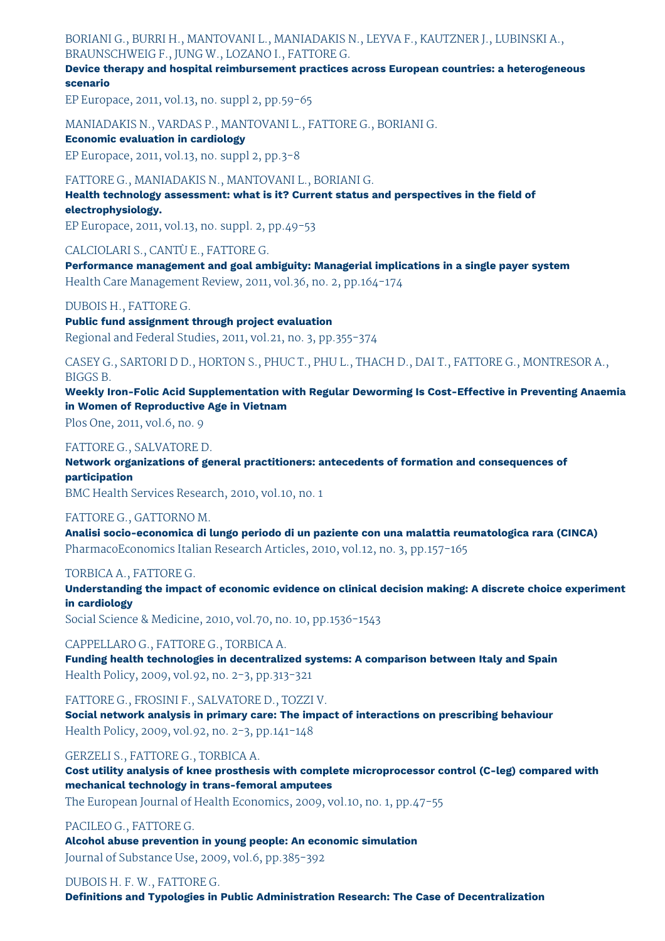BORIANI G., BURRI H., MANTOVANI L., MANIADAKIS N., LEYVA F., KAUTZNER J., LUBINSKI A., BRAUNSCHWEIG F., JUNG W., LOZANO I., FATTORE G.

**Device therapy and hospital reimbursement practices across European countries: a heterogeneous scenario**

EP Europace, 2011, vol.13, no. suppl 2, pp.59-65

MANIADAKIS N., VARDAS P., MANTOVANI L., FATTORE G., BORIANI G.

**Economic evaluation in cardiology** EP Europace, 2011, vol.13, no. suppl 2, pp.3-8

FATTORE G., MANIADAKIS N., MANTOVANI L., BORIANI G.

**Health technology assessment: what is it? Current status and perspectives in the field of electrophysiology.**

EP Europace, 2011, vol.13, no. suppl. 2, pp.49-53

CALCIOLARI S., CANTÙ E., FATTORE G.

**Performance management and goal ambiguity: Managerial implications in a single payer system** Health Care Management Review, 2011, vol.36, no. 2, pp.164-174

DUBOIS H., FATTORE G.

**Public fund assignment through project evaluation** Regional and Federal Studies, 2011, vol.21, no. 3, pp.355-374

CASEY G., SARTORI D D., HORTON S., PHUC T., PHU L., THACH D., DAI T., FATTORE G., MONTRESOR A., BIGGS B.

**Weekly Iron-Folic Acid Supplementation with Regular Deworming Is Cost-Effective in Preventing Anaemia in Women of Reproductive Age in Vietnam**

Plos One, 2011, vol.6, no. 9

#### FATTORE G., SALVATORE D.

**Network organizations of general practitioners: antecedents of formation and consequences of participation**

BMC Health Services Research, 2010, vol.10, no. 1

#### FATTORE G., GATTORNO M.

**Analisi socio-economica di lungo periodo di un paziente con una malattia reumatologica rara (CINCA)** PharmacoEconomics Italian Research Articles, 2010, vol.12, no. 3, pp.157-165

#### TORBICA A., FATTORE G.

**Understanding the impact of economic evidence on clinical decision making: A discrete choice experiment in cardiology**

Social Science & Medicine, 2010, vol.70, no. 10, pp.1536-1543

CAPPELLARO G., FATTORE G., TORBICA A.

**Funding health technologies in decentralized systems: A comparison between Italy and Spain** Health Policy, 2009, vol.92, no. 2-3, pp.313-321

#### FATTORE G., FROSINI F., SALVATORE D., TOZZI V.

**Social network analysis in primary care: The impact of interactions on prescribing behaviour** Health Policy, 2009, vol.92, no. 2-3, pp.141-148

GERZELI S., FATTORE G., TORBICA A.

**Cost utility analysis of knee prosthesis with complete microprocessor control (C-leg) compared with mechanical technology in trans-femoral amputees**

The European Journal of Health Economics, 2009, vol.10, no. 1, pp.47-55

PACILEO G., FATTORE G.

**Alcohol abuse prevention in young people: An economic simulation** Journal of Substance Use, 2009, vol.6, pp.385-392

#### DUBOIS H. F. W., FATTORE G.

**Definitions and Typologies in Public Administration Research: The Case of Decentralization**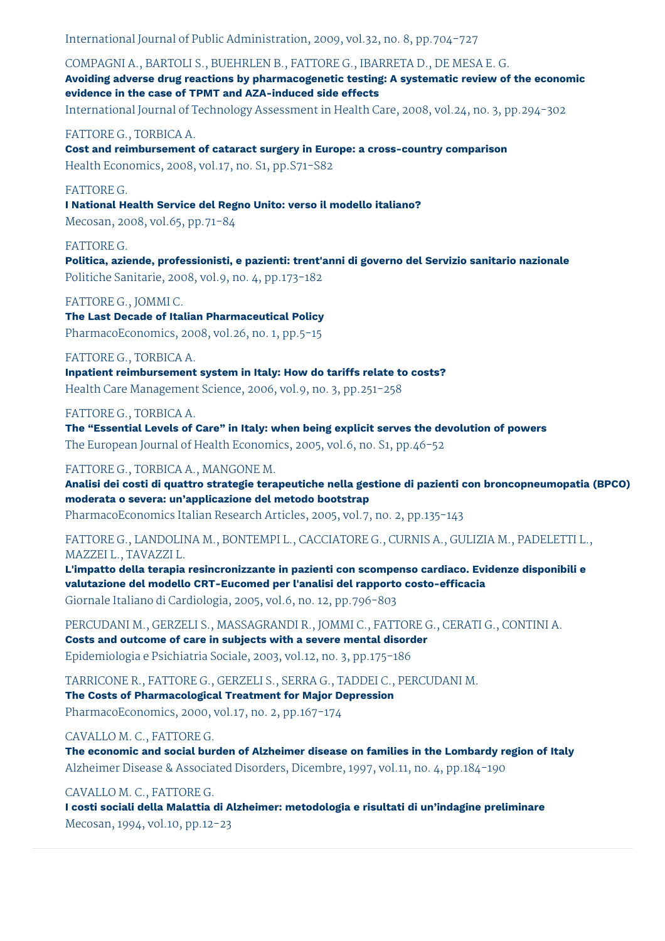International Journal of Public Administration, 2009, vol.32, no. 8, pp.704-727

COMPAGNI A., BARTOLI S., BUEHRLEN B., FATTORE G., IBARRETA D., DE MESA E. G.

**Avoiding adverse drug reactions by pharmacogenetic testing: A systematic review of the economic evidence in the case of TPMT and AZA-induced side effects** International Journal of Technology Assessment in Health Care, 2008, vol.24, no. 3, pp.294-302

#### FATTORE G., TORBICA A.

**Cost and reimbursement of cataract surgery in Europe: a cross-country comparison** Health Economics, 2008, vol.17, no. S1, pp.S71-S82

#### FATTORE G.

**I National Health Service del Regno Unito: verso il modello italiano?**

Mecosan, 2008, vol.65, pp.71-84

#### FATTORE G.

**Politica, aziende, professionisti, e pazienti: trent'anni di governo del Servizio sanitario nazionale** Politiche Sanitarie, 2008, vol.9, no. 4, pp.173-182

#### FATTORE G., JOMMI C.

**The Last Decade of Italian Pharmaceutical Policy** PharmacoEconomics, 2008, vol.26, no. 1, pp.5-15

#### FATTORE G., TORBICA A.

**Inpatient reimbursement system in Italy: How do tariffs relate to costs?**

Health Care Management Science, 2006, vol.9, no. 3, pp.251-258

#### FATTORE G., TORBICA A.

**The "Essential Levels of Care" in Italy: when being explicit serves the devolution of powers** The European Journal of Health Economics, 2005, vol.6, no. S1, pp.46-52

#### FATTORE G., TORBICA A., MANGONE M.

**Analisi dei costi di quattro strategie terapeutiche nella gestione di pazienti con broncopneumopatia (BPCO) moderata o severa: un'applicazione del metodo bootstrap**

PharmacoEconomics Italian Research Articles, 2005, vol.7, no. 2, pp.135-143

FATTORE G., LANDOLINA M., BONTEMPI L., CACCIATORE G., CURNIS A., GULIZIA M., PADELETTI L., MAZZEI L., TAVAZZI L.

**L'impatto della terapia resincronizzante in pazienti con scompenso cardiaco. Evidenze disponibili e valutazione del modello CRT-Eucomed per l'analisi del rapporto costo-efficacia** Giornale Italiano di Cardiologia, 2005, vol.6, no. 12, pp.796-803

PERCUDANI M., GERZELI S., MASSAGRANDI R., JOMMI C., FATTORE G., CERATI G., CONTINI A. **Costs and outcome of care in subjects with a severe mental disorder** Epidemiologia e Psichiatria Sociale, 2003, vol.12, no. 3, pp.175-186

TARRICONE R., FATTORE G., GERZELI S., SERRA G., TADDEI C., PERCUDANI M. **The Costs of Pharmacological Treatment for Major Depression**

PharmacoEconomics, 2000, vol.17, no. 2, pp.167-174

#### CAVALLO M. C., FATTORE G.

**The economic and social burden of Alzheimer disease on families in the Lombardy region of Italy** Alzheimer Disease & Associated Disorders, Dicembre, 1997, vol.11, no. 4, pp.184-190

#### CAVALLO M. C., FATTORE G.

**I costi sociali della Malattia di Alzheimer: metodologia e risultati di un'indagine preliminare** Mecosan, 1994, vol.10, pp.12-23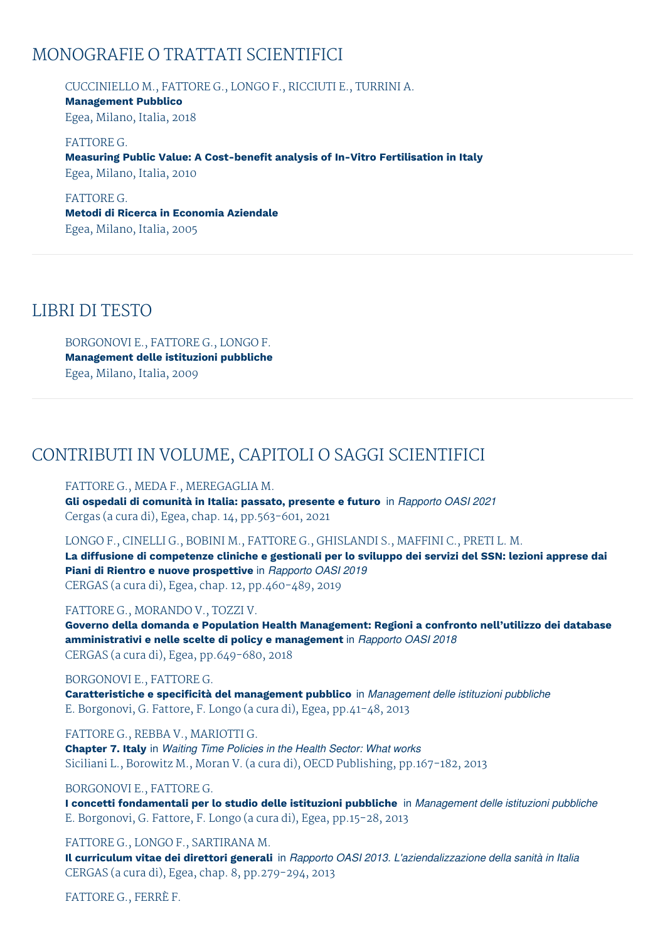# MONOGRAFIE O TRATTATI SCIENTIFICI

CUCCINIELLO M., FATTORE G., LONGO F., RICCIUTI E., TURRINI A. **Management Pubblico** Egea, Milano, Italia, 2018

FATTORE G. **Measuring Public Value: A Cost-benefit analysis of In-Vitro Fertilisation in Italy** Egea, Milano, Italia, 2010

FATTORE G. **Metodi di Ricerca in Economia Aziendale** Egea, Milano, Italia, 2005

### LIBRI DI TESTO

BORGONOVI E., FATTORE G., LONGO F. **Management delle istituzioni pubbliche** Egea, Milano, Italia, 2009

# CONTRIBUTI IN VOLUME, CAPITOLI O SAGGI SCIENTIFICI

FATTORE G., MEDA F., MEREGAGLIA M.

**Gli ospedali di comunità in Italia: passato, presente e futuro** in *Rapporto OASI 2021* Cergas (a cura di), Egea, chap. 14, pp.563-601, 2021

LONGO F., CINELLI G., BOBINI M., FATTORE G., GHISLANDI S., MAFFINI C., PRETI L. M. La diffusione di competenze cliniche e gestionali per lo sviluppo dei servizi del SSN: lezioni apprese dai **Piani di Rientro e nuove prospettive** in *Rapporto OASI 2019* CERGAS (a cura di), Egea, chap. 12, pp.460-489, 2019

FATTORE G., MORANDO V., TOZZI V.

**Governo della domanda e Population Health Management: Regioni a confronto nell'utilizzo dei database amministrativi e nelle scelte di policy e management** in *Rapporto OASI 2018* CERGAS (a cura di), Egea, pp.649-680, 2018

#### BORGONOVI E., FATTORE G.

**Caratteristiche e specificità del management pubblico** in *Management delle istituzioni pubbliche* E. Borgonovi, G. Fattore, F. Longo (a cura di), Egea, pp.41-48, 2013

FATTORE G., REBBA V., MARIOTTI G.

**Chapter 7. Italy** in *Waiting Time Policies in the Health Sector: What works* Siciliani L., Borowitz M., Moran V. (a cura di), OECD Publishing, pp.167-182, 2013

BORGONOVI E., FATTORE G.

**I concetti fondamentali per lo studio delle istituzioni pubbliche** in *Management delle istituzioni pubbliche* E. Borgonovi, G. Fattore, F. Longo (a cura di), Egea, pp.15-28, 2013

FATTORE G., LONGO F., SARTIRANA M.

**Il curriculum vitae dei direttori generali** in *Rapporto OASI 2013. L'aziendalizzazione della sanità in Italia* CERGAS (a cura di), Egea, chap. 8, pp.279-294, 2013

FATTORE G., FERRÈ F.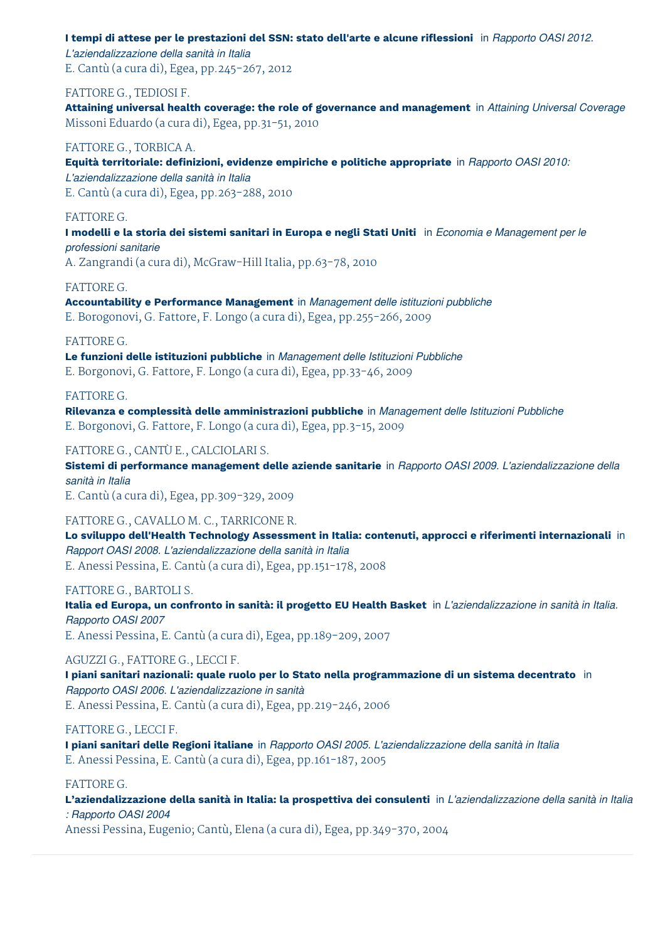#### **I tempi di attese per le prestazioni del SSN: stato dell'arte e alcune riflessioni** in *Rapporto OASI 2012.*

*L'aziendalizzazione della sanità in Italia* E. Cantù (a cura di), Egea, pp.245-267, 2012

#### FATTORE G., TEDIOSI F.

**Attaining universal health coverage: the role of governance and management** in *Attaining Universal Coverage* Missoni Eduardo (a cura di), Egea, pp.31-51, 2010

#### FATTORE G., TORBICA A.

**Equità territoriale: definizioni, evidenze empiriche e politiche appropriate** in *Rapporto OASI 2010:*

*L'aziendalizzazione della sanità in Italia* E. Cantù (a cura di), Egea, pp.263-288, 2010

#### FATTORE G.

I modelli e la storia dei sistemi sanitari in Europa e negli Stati Uniti in Economia e Management per le *professioni sanitarie*

A. Zangrandi (a cura di), McGraw-Hill Italia, pp.63-78, 2010

#### FATTORE G.

**Accountability e Performance Management** in *Management delle istituzioni pubbliche* E. Borogonovi, G. Fattore, F. Longo (a cura di), Egea, pp.255-266, 2009

#### FATTORE G.

**Le funzioni delle istituzioni pubbliche** in *Management delle Istituzioni Pubbliche* E. Borgonovi, G. Fattore, F. Longo (a cura di), Egea, pp.33-46, 2009

#### FATTORE G.

**Rilevanza e complessità delle amministrazioni pubbliche** in *Management delle Istituzioni Pubbliche* E. Borgonovi, G. Fattore, F. Longo (a cura di), Egea, pp.3-15, 2009

#### FATTORE G., CANTÙ E., CALCIOLARI S.

**Sistemi di performance management delle aziende sanitarie** in *Rapporto OASI 2009. L'aziendalizzazione della sanità in Italia*

E. Cantù (a cura di), Egea, pp.309-329, 2009

#### FATTORE G., CAVALLO M. C., TARRICONE R.

**Lo sviluppo dell'Health Technology Assessment in Italia: contenuti, approcci e riferimenti internazionali** in *Rapport OASI 2008. L'aziendalizzazione della sanità in Italia* E. Anessi Pessina, E. Cantù (a cura di), Egea, pp.151-178, 2008

#### FATTORE G., BARTOLI S.

Italia ed Europa, un confronto in sanità: il progetto EU Health Basket in L'aziendalizzazione in sanità in Italia. *Rapporto OASI 2007*

E. Anessi Pessina, E. Cantù (a cura di), Egea, pp.189-209, 2007

#### AGUZZI G., FATTORE G., LECCI F.

**I piani sanitari nazionali: quale ruolo per lo Stato nella programmazione di un sistema decentrato** in *Rapporto OASI 2006. L'aziendalizzazione in sanità* E. Anessi Pessina, E. Cantù (a cura di), Egea, pp.219-246, 2006

#### FATTORE G., LECCI F.

**I piani sanitari delle Regioni italiane** in *Rapporto OASI 2005. L'aziendalizzazione della sanità in Italia* E. Anessi Pessina, E. Cantù (a cura di), Egea, pp.161-187, 2005

#### FATTORE G.

**L'aziendalizzazione della sanità in Italia: la prospettiva dei consulenti** in *L'aziendalizzazione della sanità in Italia : Rapporto OASI 2004*

Anessi Pessina, Eugenio; Cantù, Elena (a cura di), Egea, pp.349-370, 2004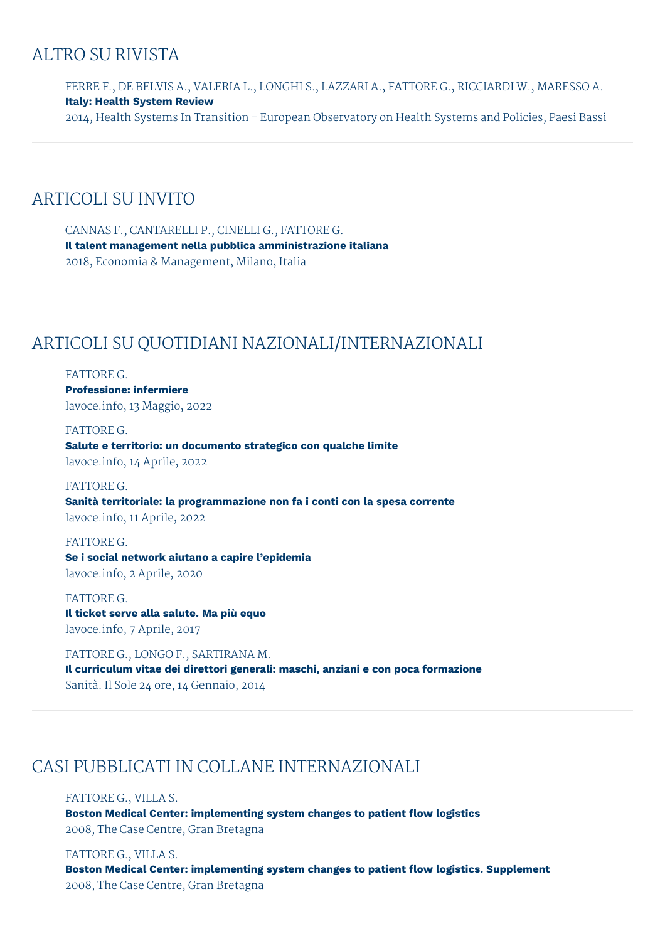### ALTRO SU RIVISTA

FERRE F., DE BELVIS A., VALERIA L., LONGHI S., LAZZARI A., FATTORE G., RICCIARDI W., MARESSO A. **Italy: Health System Review**

2014, Health Systems In Transition - European Observatory on Health Systems and Policies, Paesi Bassi

### ARTICOLI SU INVITO

CANNAS F., CANTARELLI P., CINELLI G., FATTORE G. **Il talent management nella pubblica amministrazione italiana** 2018, Economia & Management, Milano, Italia

# ARTICOLI SU QUOTIDIANI NAZIONALI/INTERNAZIONALI

FATTORE G. **Professione: infermiere** lavoce.info, 13 Maggio, 2022

FATTORE G. **Salute e territorio: un documento strategico con qualche limite** lavoce.info, 14 Aprile, 2022

#### FATTORE G.

**Sanità territoriale: la programmazione non fa i conti con la spesa corrente** lavoce.info, 11 Aprile, 2022

FATTORE G. **Se i social network aiutano a capire l'epidemia** lavoce.info, 2 Aprile, 2020

FATTORE G. **Il ticket serve alla salute. Ma più equo** lavoce.info, 7 Aprile, 2017

FATTORE G., LONGO F., SARTIRANA M. **Il curriculum vitae dei direttori generali: maschi, anziani e con poca formazione** Sanità. Il Sole 24 ore, 14 Gennaio, 2014

# CASI PUBBLICATI IN COLLANE INTERNAZIONALI

FATTORE G., VILLA S.

**Boston Medical Center: implementing system changes to patient flow logistics** 2008, The Case Centre, Gran Bretagna

FATTORE G., VILLA S. **Boston Medical Center: implementing system changes to patient flow logistics. Supplement** 2008, The Case Centre, Gran Bretagna